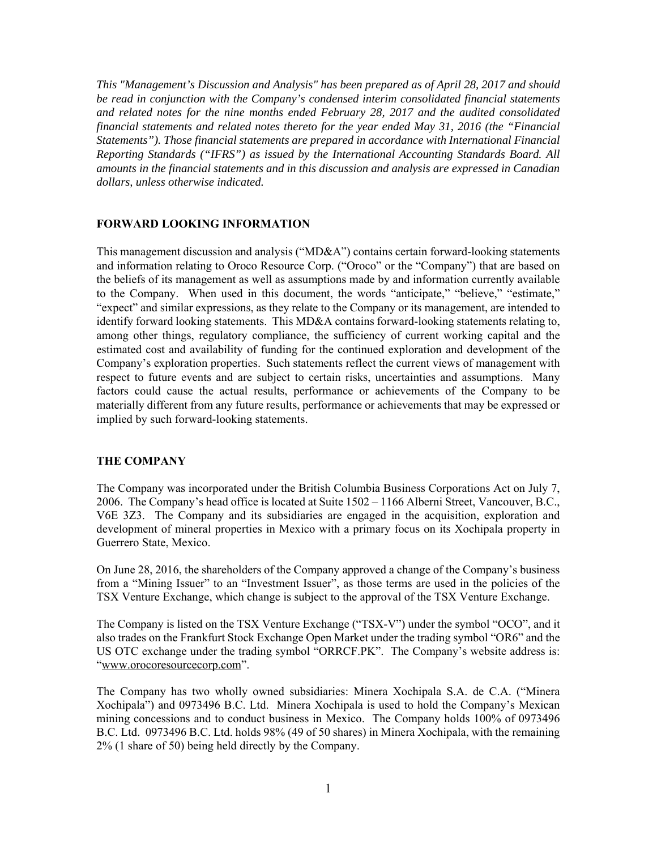*This "Management's Discussion and Analysis" has been prepared as of April 28, 2017 and should be read in conjunction with the Company's condensed interim consolidated financial statements and related notes for the nine months ended February 28, 2017 and the audited consolidated financial statements and related notes thereto for the year ended May 31, 2016 (the "Financial Statements"). Those financial statements are prepared in accordance with International Financial Reporting Standards ("IFRS") as issued by the International Accounting Standards Board. All amounts in the financial statements and in this discussion and analysis are expressed in Canadian dollars, unless otherwise indicated.* 

#### **FORWARD LOOKING INFORMATION**

This management discussion and analysis ("MD&A") contains certain forward-looking statements and information relating to Oroco Resource Corp. ("Oroco" or the "Company") that are based on the beliefs of its management as well as assumptions made by and information currently available to the Company. When used in this document, the words "anticipate," "believe," "estimate," "expect" and similar expressions, as they relate to the Company or its management, are intended to identify forward looking statements. This MD&A contains forward-looking statements relating to, among other things, regulatory compliance, the sufficiency of current working capital and the estimated cost and availability of funding for the continued exploration and development of the Company's exploration properties. Such statements reflect the current views of management with respect to future events and are subject to certain risks, uncertainties and assumptions. Many factors could cause the actual results, performance or achievements of the Company to be materially different from any future results, performance or achievements that may be expressed or implied by such forward-looking statements.

#### **THE COMPANY**

The Company was incorporated under the British Columbia Business Corporations Act on July 7, 2006. The Company's head office is located at Suite 1502 – 1166 Alberni Street, Vancouver, B.C., V6E 3Z3. The Company and its subsidiaries are engaged in the acquisition, exploration and development of mineral properties in Mexico with a primary focus on its Xochipala property in Guerrero State, Mexico.

On June 28, 2016, the shareholders of the Company approved a change of the Company's business from a "Mining Issuer" to an "Investment Issuer", as those terms are used in the policies of the TSX Venture Exchange, which change is subject to the approval of the TSX Venture Exchange.

The Company is listed on the TSX Venture Exchange ("TSX-V") under the symbol "OCO", and it also trades on the Frankfurt Stock Exchange Open Market under the trading symbol "OR6" and the US OTC exchange under the trading symbol "ORRCF.PK". The Company's website address is: "www.orocoresourcecorp.com".

The Company has two wholly owned subsidiaries: Minera Xochipala S.A. de C.A. ("Minera Xochipala") and 0973496 B.C. Ltd. Minera Xochipala is used to hold the Company's Mexican mining concessions and to conduct business in Mexico. The Company holds 100% of 0973496 B.C. Ltd. 0973496 B.C. Ltd. holds 98% (49 of 50 shares) in Minera Xochipala, with the remaining 2% (1 share of 50) being held directly by the Company.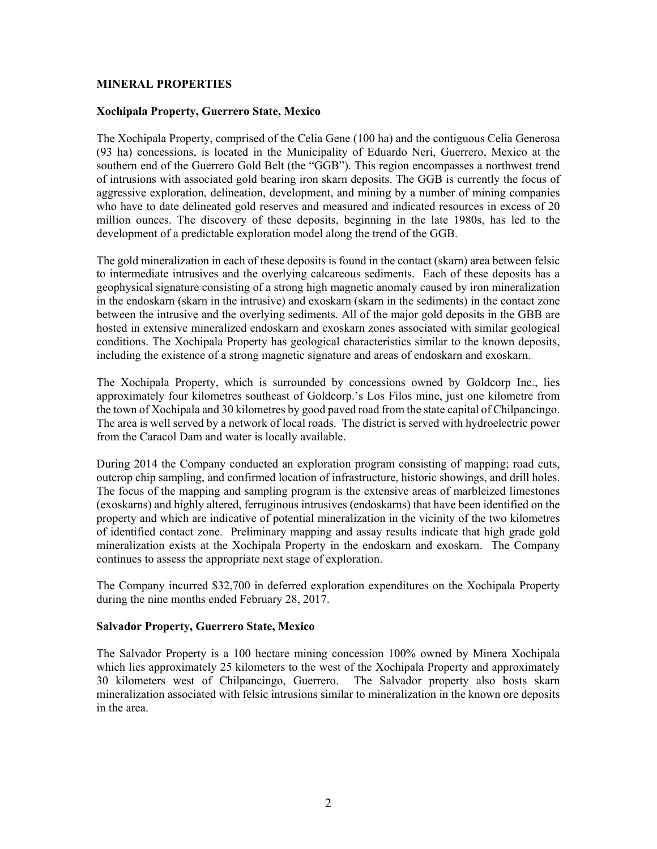### **MINERAL PROPERTIES**

#### **Xochipala Property, Guerrero State, Mexico**

The Xochipala Property, comprised of the Celia Gene (100 ha) and the contiguous Celia Generosa (93 ha) concessions, is located in the Municipality of Eduardo Neri, Guerrero, Mexico at the southern end of the Guerrero Gold Belt (the "GGB"). This region encompasses a northwest trend of intrusions with associated gold bearing iron skarn deposits. The GGB is currently the focus of aggressive exploration, delineation, development, and mining by a number of mining companies who have to date delineated gold reserves and measured and indicated resources in excess of 20 million ounces. The discovery of these deposits, beginning in the late 1980s, has led to the development of a predictable exploration model along the trend of the GGB.

The gold mineralization in each of these deposits is found in the contact (skarn) area between felsic to intermediate intrusives and the overlying calcareous sediments. Each of these deposits has a geophysical signature consisting of a strong high magnetic anomaly caused by iron mineralization in the endoskarn (skarn in the intrusive) and exoskarn (skarn in the sediments) in the contact zone between the intrusive and the overlying sediments. All of the major gold deposits in the GBB are hosted in extensive mineralized endoskarn and exoskarn zones associated with similar geological conditions. The Xochipala Property has geological characteristics similar to the known deposits, including the existence of a strong magnetic signature and areas of endoskarn and exoskarn.

The Xochipala Property, which is surrounded by concessions owned by Goldcorp Inc., lies approximately four kilometres southeast of Goldcorp.'s Los Filos mine, just one kilometre from the town of Xochipala and 30 kilometres by good paved road from the state capital of Chilpancingo. The area is well served by a network of local roads. The district is served with hydroelectric power from the Caracol Dam and water is locally available.

During 2014 the Company conducted an exploration program consisting of mapping; road cuts, outcrop chip sampling, and confirmed location of infrastructure, historic showings, and drill holes. The focus of the mapping and sampling program is the extensive areas of marbleized limestones (exoskarns) and highly altered, ferruginous intrusives (endoskarns) that have been identified on the property and which are indicative of potential mineralization in the vicinity of the two kilometres of identified contact zone. Preliminary mapping and assay results indicate that high grade gold mineralization exists at the Xochipala Property in the endoskarn and exoskarn. The Company continues to assess the appropriate next stage of exploration.

The Company incurred \$32,700 in deferred exploration expenditures on the Xochipala Property during the nine months ended February 28, 2017.

#### **Salvador Property, Guerrero State, Mexico**

The Salvador Property is a 100 hectare mining concession 100% owned by Minera Xochipala which lies approximately 25 kilometers to the west of the Xochipala Property and approximately 30 kilometers west of Chilpancingo, Guerrero. The Salvador property also hosts skarn mineralization associated with felsic intrusions similar to mineralization in the known ore deposits in the area.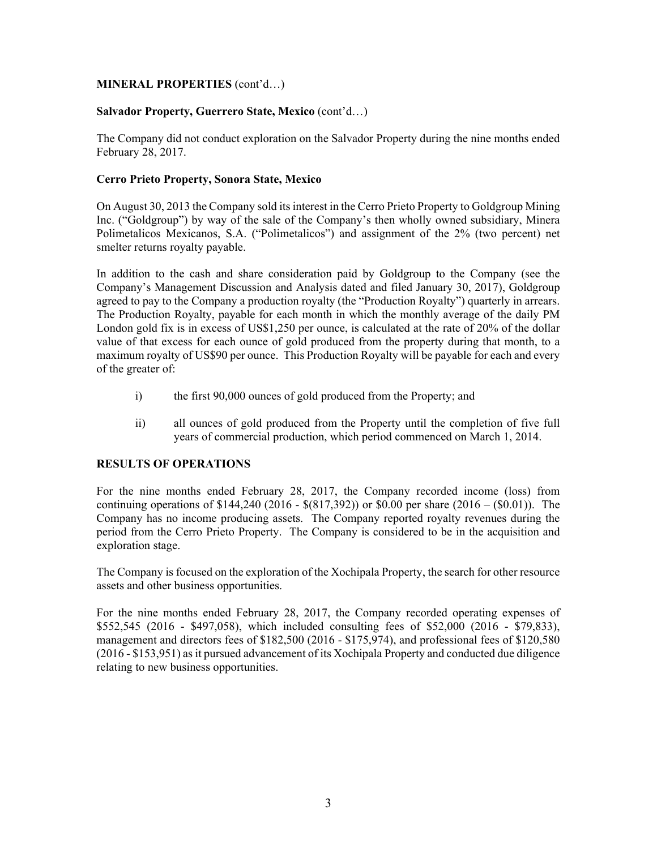# **MINERAL PROPERTIES** (cont'd…)

### **Salvador Property, Guerrero State, Mexico** (cont'd…)

The Company did not conduct exploration on the Salvador Property during the nine months ended February 28, 2017.

### **Cerro Prieto Property, Sonora State, Mexico**

On August 30, 2013 the Company sold its interest in the Cerro Prieto Property to Goldgroup Mining Inc. ("Goldgroup") by way of the sale of the Company's then wholly owned subsidiary, Minera Polimetalicos Mexicanos, S.A. ("Polimetalicos") and assignment of the 2% (two percent) net smelter returns royalty payable.

In addition to the cash and share consideration paid by Goldgroup to the Company (see the Company's Management Discussion and Analysis dated and filed January 30, 2017), Goldgroup agreed to pay to the Company a production royalty (the "Production Royalty") quarterly in arrears. The Production Royalty, payable for each month in which the monthly average of the daily PM London gold fix is in excess of US\$1,250 per ounce, is calculated at the rate of 20% of the dollar value of that excess for each ounce of gold produced from the property during that month, to a maximum royalty of US\$90 per ounce. This Production Royalty will be payable for each and every of the greater of:

- i) the first 90,000 ounces of gold produced from the Property; and
- ii) all ounces of gold produced from the Property until the completion of five full years of commercial production, which period commenced on March 1, 2014.

#### **RESULTS OF OPERATIONS**

For the nine months ended February 28, 2017, the Company recorded income (loss) from continuing operations of \$144,240 (2016 - \$(817,392)) or \$0.00 per share (2016 – (\$0.01)). The Company has no income producing assets. The Company reported royalty revenues during the period from the Cerro Prieto Property. The Company is considered to be in the acquisition and exploration stage.

The Company is focused on the exploration of the Xochipala Property, the search for other resource assets and other business opportunities.

For the nine months ended February 28, 2017, the Company recorded operating expenses of \$552,545 (2016 - \$497,058), which included consulting fees of \$52,000 (2016 - \$79,833), management and directors fees of \$182,500 (2016 - \$175,974), and professional fees of \$120,580 (2016 - \$153,951) as it pursued advancement of its Xochipala Property and conducted due diligence relating to new business opportunities.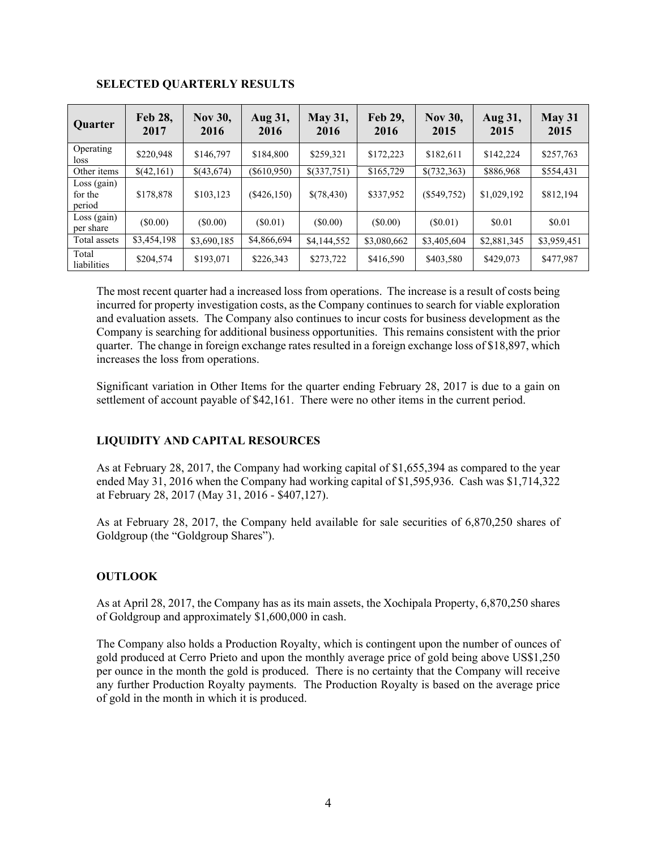| Quarter                            | Feb 28,<br>2017 | <b>Nov 30,</b><br>2016 | Aug 31,<br>2016 | <b>May 31,</b><br>2016 | Feb 29,<br>2016 | <b>Nov 30,</b><br>2015 | Aug 31,<br>2015 | May 31<br>2015 |
|------------------------------------|-----------------|------------------------|-----------------|------------------------|-----------------|------------------------|-----------------|----------------|
| Operating<br>loss                  | \$220,948       | \$146,797              | \$184,800       | \$259,321              | \$172,223       | \$182,611              | \$142,224       | \$257,763      |
| Other items                        | \$(42,161)      | \$(43,674)             | $(\$610,950)$   | $$$ (337,751)          | \$165,729       | \$(732,363)            | \$886,968       | \$554,431      |
| $Loss$ (gain)<br>for the<br>period | \$178,878       | \$103,123              | $(\$426,150)$   | \$(78,430)             | \$337,952       | $(\$549,752)$          | \$1,029,192     | \$812,194      |
| $Loss$ (gain)<br>per share         | $(\$0.00)$      | (S0.00)                | (S0.01)         | (S0.00)                | (S0.00)         | (S0.01)                | \$0.01          | \$0.01         |
| Total assets                       | \$3,454,198     | \$3,690,185            | \$4,866,694     | \$4,144,552            | \$3,080,662     | \$3,405,604            | \$2,881,345     | \$3,959,451    |
| Total<br>liabilities               | \$204,574       | \$193,071              | \$226,343       | \$273,722              | \$416,590       | \$403,580              | \$429,073       | \$477,987      |

# **SELECTED QUARTERLY RESULTS**

The most recent quarter had a increased loss from operations. The increase is a result of costs being incurred for property investigation costs, as the Company continues to search for viable exploration and evaluation assets. The Company also continues to incur costs for business development as the Company is searching for additional business opportunities. This remains consistent with the prior quarter. The change in foreign exchange rates resulted in a foreign exchange loss of \$18,897, which increases the loss from operations.

Significant variation in Other Items for the quarter ending February 28, 2017 is due to a gain on settlement of account payable of \$42,161. There were no other items in the current period.

# **LIQUIDITY AND CAPITAL RESOURCES**

As at February 28, 2017, the Company had working capital of \$1,655,394 as compared to the year ended May 31, 2016 when the Company had working capital of \$1,595,936. Cash was \$1,714,322 at February 28, 2017 (May 31, 2016 - \$407,127).

As at February 28, 2017, the Company held available for sale securities of 6,870,250 shares of Goldgroup (the "Goldgroup Shares").

# **OUTLOOK**

As at April 28, 2017, the Company has as its main assets, the Xochipala Property, 6,870,250 shares of Goldgroup and approximately \$1,600,000 in cash.

The Company also holds a Production Royalty, which is contingent upon the number of ounces of gold produced at Cerro Prieto and upon the monthly average price of gold being above US\$1,250 per ounce in the month the gold is produced. There is no certainty that the Company will receive any further Production Royalty payments. The Production Royalty is based on the average price of gold in the month in which it is produced.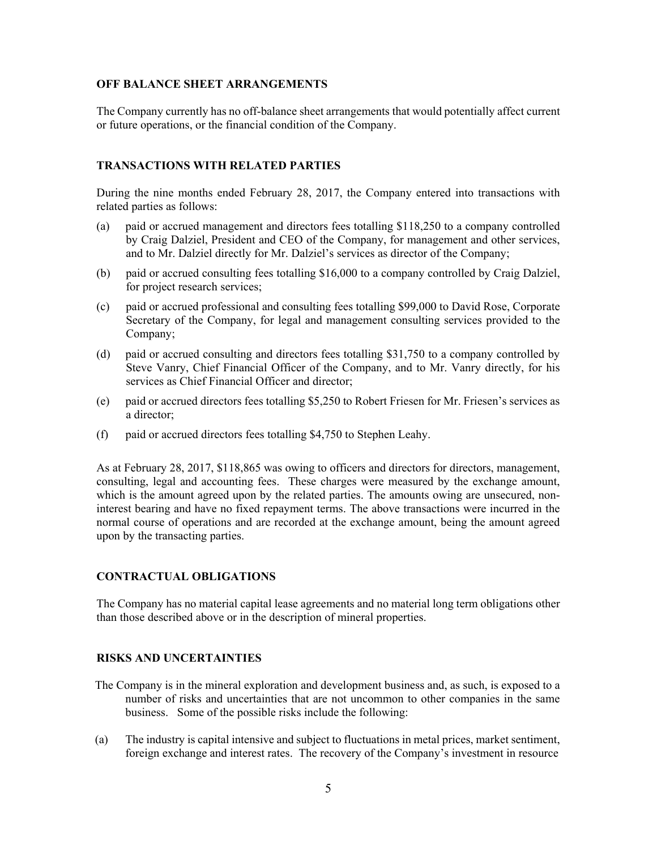### **OFF BALANCE SHEET ARRANGEMENTS**

The Company currently has no off-balance sheet arrangements that would potentially affect current or future operations, or the financial condition of the Company.

### **TRANSACTIONS WITH RELATED PARTIES**

During the nine months ended February 28, 2017, the Company entered into transactions with related parties as follows:

- (a) paid or accrued management and directors fees totalling \$118,250 to a company controlled by Craig Dalziel, President and CEO of the Company, for management and other services, and to Mr. Dalziel directly for Mr. Dalziel's services as director of the Company;
- (b) paid or accrued consulting fees totalling \$16,000 to a company controlled by Craig Dalziel, for project research services;
- (c) paid or accrued professional and consulting fees totalling \$99,000 to David Rose, Corporate Secretary of the Company, for legal and management consulting services provided to the Company;
- (d) paid or accrued consulting and directors fees totalling \$31,750 to a company controlled by Steve Vanry, Chief Financial Officer of the Company, and to Mr. Vanry directly, for his services as Chief Financial Officer and director;
- (e) paid or accrued directors fees totalling \$5,250 to Robert Friesen for Mr. Friesen's services as a director;
- (f) paid or accrued directors fees totalling \$4,750 to Stephen Leahy.

As at February 28, 2017, \$118,865 was owing to officers and directors for directors, management, consulting, legal and accounting fees. These charges were measured by the exchange amount, which is the amount agreed upon by the related parties. The amounts owing are unsecured, noninterest bearing and have no fixed repayment terms. The above transactions were incurred in the normal course of operations and are recorded at the exchange amount, being the amount agreed upon by the transacting parties.

# **CONTRACTUAL OBLIGATIONS**

The Company has no material capital lease agreements and no material long term obligations other than those described above or in the description of mineral properties.

# **RISKS AND UNCERTAINTIES**

- The Company is in the mineral exploration and development business and, as such, is exposed to a number of risks and uncertainties that are not uncommon to other companies in the same business. Some of the possible risks include the following:
- (a) The industry is capital intensive and subject to fluctuations in metal prices, market sentiment, foreign exchange and interest rates. The recovery of the Company's investment in resource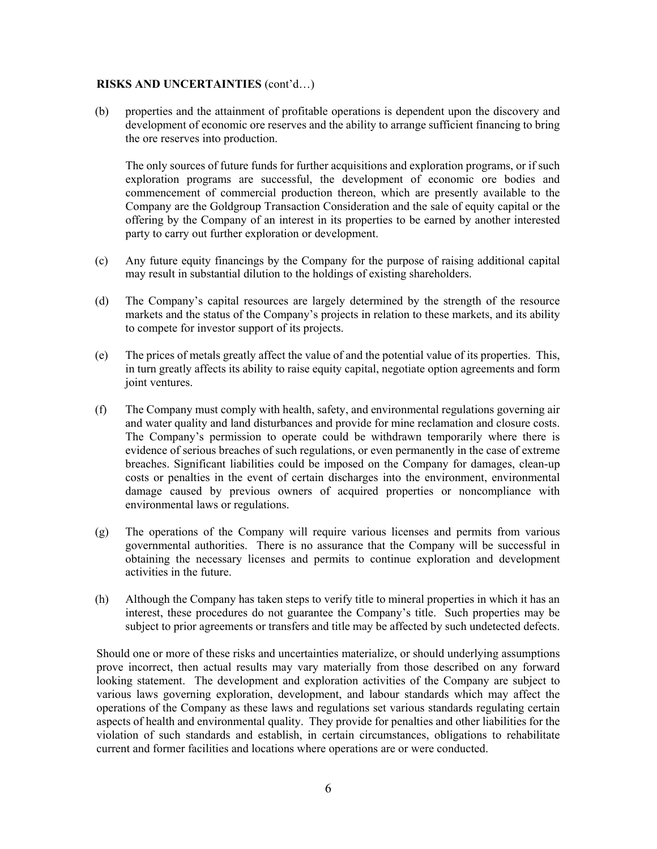#### **RISKS AND UNCERTAINTIES** (cont'd…)

(b) properties and the attainment of profitable operations is dependent upon the discovery and development of economic ore reserves and the ability to arrange sufficient financing to bring the ore reserves into production.

The only sources of future funds for further acquisitions and exploration programs, or if such exploration programs are successful, the development of economic ore bodies and commencement of commercial production thereon, which are presently available to the Company are the Goldgroup Transaction Consideration and the sale of equity capital or the offering by the Company of an interest in its properties to be earned by another interested party to carry out further exploration or development.

- (c) Any future equity financings by the Company for the purpose of raising additional capital may result in substantial dilution to the holdings of existing shareholders.
- (d) The Company's capital resources are largely determined by the strength of the resource markets and the status of the Company's projects in relation to these markets, and its ability to compete for investor support of its projects.
- (e) The prices of metals greatly affect the value of and the potential value of its properties. This, in turn greatly affects its ability to raise equity capital, negotiate option agreements and form joint ventures.
- (f) The Company must comply with health, safety, and environmental regulations governing air and water quality and land disturbances and provide for mine reclamation and closure costs. The Company's permission to operate could be withdrawn temporarily where there is evidence of serious breaches of such regulations, or even permanently in the case of extreme breaches. Significant liabilities could be imposed on the Company for damages, clean-up costs or penalties in the event of certain discharges into the environment, environmental damage caused by previous owners of acquired properties or noncompliance with environmental laws or regulations.
- (g) The operations of the Company will require various licenses and permits from various governmental authorities. There is no assurance that the Company will be successful in obtaining the necessary licenses and permits to continue exploration and development activities in the future.
- (h) Although the Company has taken steps to verify title to mineral properties in which it has an interest, these procedures do not guarantee the Company's title. Such properties may be subject to prior agreements or transfers and title may be affected by such undetected defects.

Should one or more of these risks and uncertainties materialize, or should underlying assumptions prove incorrect, then actual results may vary materially from those described on any forward looking statement. The development and exploration activities of the Company are subject to various laws governing exploration, development, and labour standards which may affect the operations of the Company as these laws and regulations set various standards regulating certain aspects of health and environmental quality. They provide for penalties and other liabilities for the violation of such standards and establish, in certain circumstances, obligations to rehabilitate current and former facilities and locations where operations are or were conducted.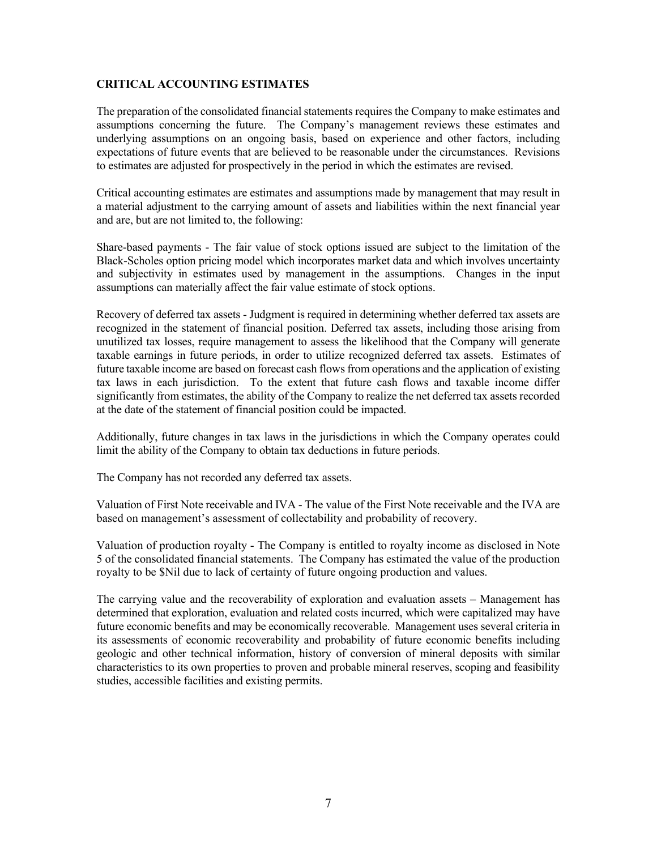# **CRITICAL ACCOUNTING ESTIMATES**

The preparation of the consolidated financial statements requires the Company to make estimates and assumptions concerning the future. The Company's management reviews these estimates and underlying assumptions on an ongoing basis, based on experience and other factors, including expectations of future events that are believed to be reasonable under the circumstances. Revisions to estimates are adjusted for prospectively in the period in which the estimates are revised.

Critical accounting estimates are estimates and assumptions made by management that may result in a material adjustment to the carrying amount of assets and liabilities within the next financial year and are, but are not limited to, the following:

Share-based payments - The fair value of stock options issued are subject to the limitation of the Black-Scholes option pricing model which incorporates market data and which involves uncertainty and subjectivity in estimates used by management in the assumptions. Changes in the input assumptions can materially affect the fair value estimate of stock options.

Recovery of deferred tax assets - Judgment is required in determining whether deferred tax assets are recognized in the statement of financial position. Deferred tax assets, including those arising from unutilized tax losses, require management to assess the likelihood that the Company will generate taxable earnings in future periods, in order to utilize recognized deferred tax assets. Estimates of future taxable income are based on forecast cash flows from operations and the application of existing tax laws in each jurisdiction. To the extent that future cash flows and taxable income differ significantly from estimates, the ability of the Company to realize the net deferred tax assets recorded at the date of the statement of financial position could be impacted.

Additionally, future changes in tax laws in the jurisdictions in which the Company operates could limit the ability of the Company to obtain tax deductions in future periods.

The Company has not recorded any deferred tax assets.

Valuation of First Note receivable and IVA - The value of the First Note receivable and the IVA are based on management's assessment of collectability and probability of recovery.

Valuation of production royalty - The Company is entitled to royalty income as disclosed in Note 5 of the consolidated financial statements. The Company has estimated the value of the production royalty to be \$Nil due to lack of certainty of future ongoing production and values.

The carrying value and the recoverability of exploration and evaluation assets – Management has determined that exploration, evaluation and related costs incurred, which were capitalized may have future economic benefits and may be economically recoverable. Management uses several criteria in its assessments of economic recoverability and probability of future economic benefits including geologic and other technical information, history of conversion of mineral deposits with similar characteristics to its own properties to proven and probable mineral reserves, scoping and feasibility studies, accessible facilities and existing permits.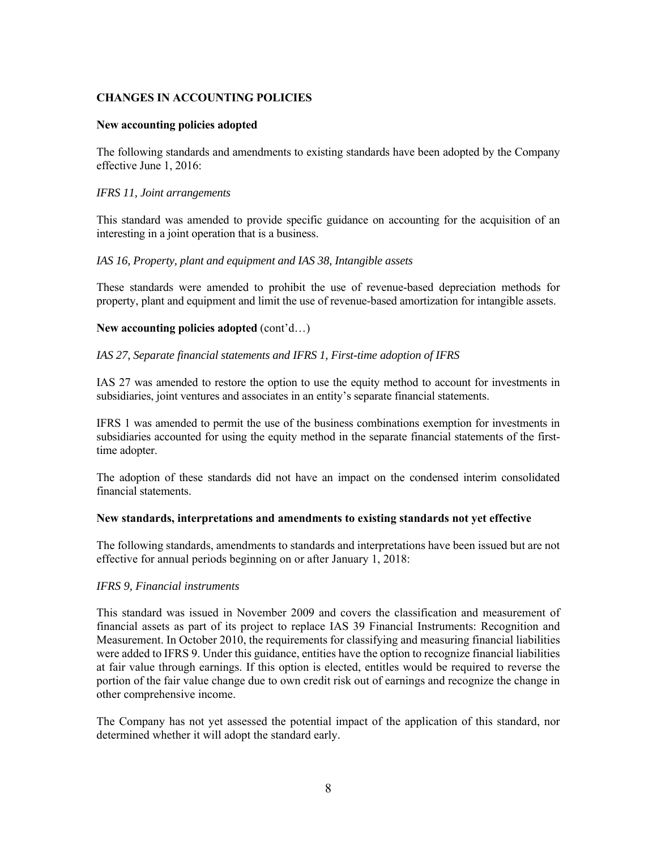# **CHANGES IN ACCOUNTING POLICIES**

### **New accounting policies adopted**

The following standards and amendments to existing standards have been adopted by the Company effective June 1, 2016:

### *IFRS 11, Joint arrangements*

This standard was amended to provide specific guidance on accounting for the acquisition of an interesting in a joint operation that is a business.

# *IAS 16, Property, plant and equipment and IAS 38, Intangible assets*

These standards were amended to prohibit the use of revenue-based depreciation methods for property, plant and equipment and limit the use of revenue-based amortization for intangible assets.

# **New accounting policies adopted** (cont'd…)

### *IAS 27, Separate financial statements and IFRS 1, First-time adoption of IFRS*

IAS 27 was amended to restore the option to use the equity method to account for investments in subsidiaries, joint ventures and associates in an entity's separate financial statements.

IFRS 1 was amended to permit the use of the business combinations exemption for investments in subsidiaries accounted for using the equity method in the separate financial statements of the firsttime adopter.

The adoption of these standards did not have an impact on the condensed interim consolidated financial statements.

#### **New standards, interpretations and amendments to existing standards not yet effective**

The following standards, amendments to standards and interpretations have been issued but are not effective for annual periods beginning on or after January 1, 2018:

# *IFRS 9, Financial instruments*

This standard was issued in November 2009 and covers the classification and measurement of financial assets as part of its project to replace IAS 39 Financial Instruments: Recognition and Measurement. In October 2010, the requirements for classifying and measuring financial liabilities were added to IFRS 9. Under this guidance, entities have the option to recognize financial liabilities at fair value through earnings. If this option is elected, entitles would be required to reverse the portion of the fair value change due to own credit risk out of earnings and recognize the change in other comprehensive income.

The Company has not yet assessed the potential impact of the application of this standard, nor determined whether it will adopt the standard early.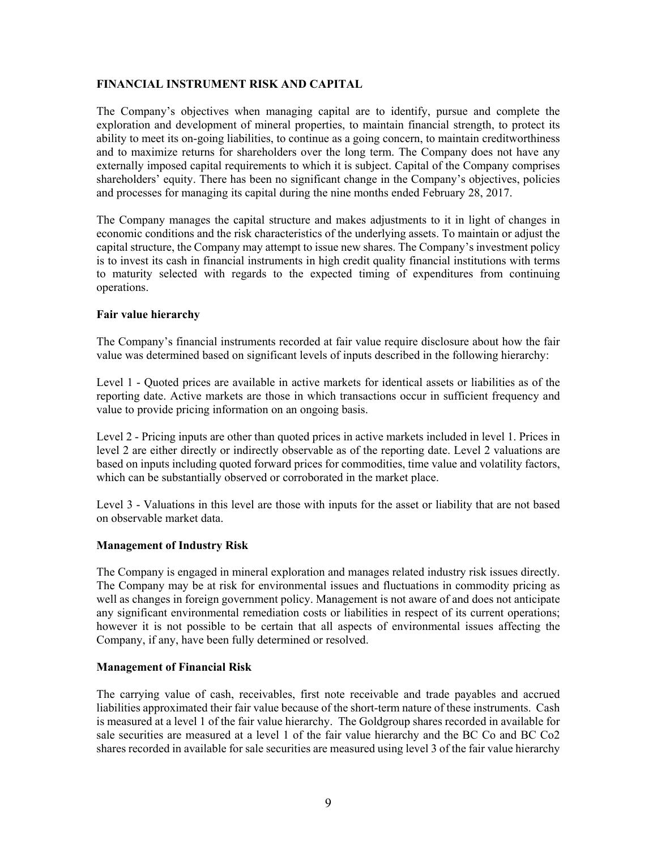### **FINANCIAL INSTRUMENT RISK AND CAPITAL**

The Company's objectives when managing capital are to identify, pursue and complete the exploration and development of mineral properties, to maintain financial strength, to protect its ability to meet its on-going liabilities, to continue as a going concern, to maintain creditworthiness and to maximize returns for shareholders over the long term. The Company does not have any externally imposed capital requirements to which it is subject. Capital of the Company comprises shareholders' equity. There has been no significant change in the Company's objectives, policies and processes for managing its capital during the nine months ended February 28, 2017.

The Company manages the capital structure and makes adjustments to it in light of changes in economic conditions and the risk characteristics of the underlying assets. To maintain or adjust the capital structure, the Company may attempt to issue new shares. The Company's investment policy is to invest its cash in financial instruments in high credit quality financial institutions with terms to maturity selected with regards to the expected timing of expenditures from continuing operations.

# **Fair value hierarchy**

The Company's financial instruments recorded at fair value require disclosure about how the fair value was determined based on significant levels of inputs described in the following hierarchy:

Level 1 - Quoted prices are available in active markets for identical assets or liabilities as of the reporting date. Active markets are those in which transactions occur in sufficient frequency and value to provide pricing information on an ongoing basis.

Level 2 - Pricing inputs are other than quoted prices in active markets included in level 1. Prices in level 2 are either directly or indirectly observable as of the reporting date. Level 2 valuations are based on inputs including quoted forward prices for commodities, time value and volatility factors, which can be substantially observed or corroborated in the market place.

Level 3 - Valuations in this level are those with inputs for the asset or liability that are not based on observable market data.

# **Management of Industry Risk**

The Company is engaged in mineral exploration and manages related industry risk issues directly. The Company may be at risk for environmental issues and fluctuations in commodity pricing as well as changes in foreign government policy. Management is not aware of and does not anticipate any significant environmental remediation costs or liabilities in respect of its current operations; however it is not possible to be certain that all aspects of environmental issues affecting the Company, if any, have been fully determined or resolved.

#### **Management of Financial Risk**

The carrying value of cash, receivables, first note receivable and trade payables and accrued liabilities approximated their fair value because of the short-term nature of these instruments. Cash is measured at a level 1 of the fair value hierarchy. The Goldgroup shares recorded in available for sale securities are measured at a level 1 of the fair value hierarchy and the BC Co and BC Co2 shares recorded in available for sale securities are measured using level 3 of the fair value hierarchy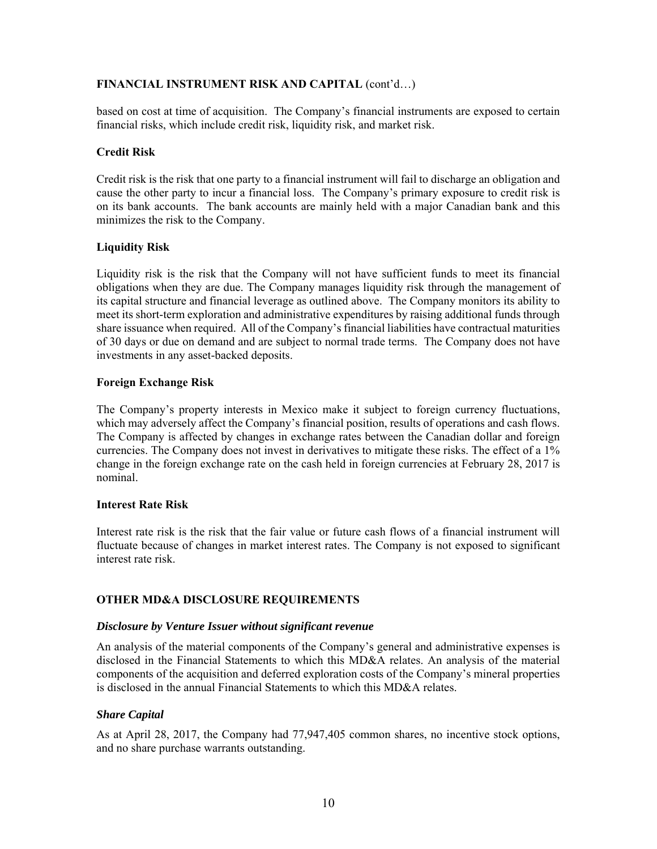# **FINANCIAL INSTRUMENT RISK AND CAPITAL** (cont'd…)

based on cost at time of acquisition. The Company's financial instruments are exposed to certain financial risks, which include credit risk, liquidity risk, and market risk.

### **Credit Risk**

Credit risk is the risk that one party to a financial instrument will fail to discharge an obligation and cause the other party to incur a financial loss. The Company's primary exposure to credit risk is on its bank accounts. The bank accounts are mainly held with a major Canadian bank and this minimizes the risk to the Company.

# **Liquidity Risk**

Liquidity risk is the risk that the Company will not have sufficient funds to meet its financial obligations when they are due. The Company manages liquidity risk through the management of its capital structure and financial leverage as outlined above. The Company monitors its ability to meet its short-term exploration and administrative expenditures by raising additional funds through share issuance when required. All of the Company's financial liabilities have contractual maturities of 30 days or due on demand and are subject to normal trade terms. The Company does not have investments in any asset-backed deposits.

### **Foreign Exchange Risk**

The Company's property interests in Mexico make it subject to foreign currency fluctuations, which may adversely affect the Company's financial position, results of operations and cash flows. The Company is affected by changes in exchange rates between the Canadian dollar and foreign currencies. The Company does not invest in derivatives to mitigate these risks. The effect of a 1% change in the foreign exchange rate on the cash held in foreign currencies at February 28, 2017 is nominal.

#### **Interest Rate Risk**

Interest rate risk is the risk that the fair value or future cash flows of a financial instrument will fluctuate because of changes in market interest rates. The Company is not exposed to significant interest rate risk.

# **OTHER MD&A DISCLOSURE REQUIREMENTS**

#### *Disclosure by Venture Issuer without significant revenue*

An analysis of the material components of the Company's general and administrative expenses is disclosed in the Financial Statements to which this MD&A relates. An analysis of the material components of the acquisition and deferred exploration costs of the Company's mineral properties is disclosed in the annual Financial Statements to which this MD&A relates.

# *Share Capital*

As at April 28, 2017, the Company had 77,947,405 common shares, no incentive stock options, and no share purchase warrants outstanding.